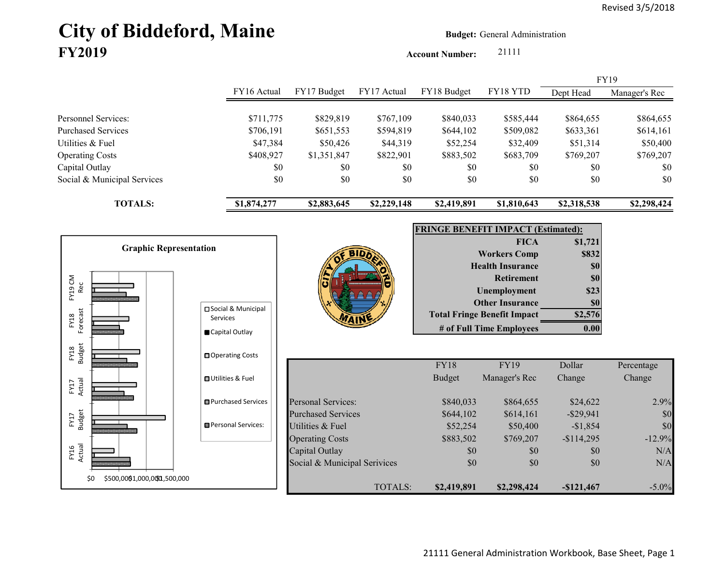# City of Biddeford, Maine **Budget:** General Administration **FY2019**

**Account Number:** 21111

|                             |             |             |             |                                 |             | <b>FY19</b> |               |
|-----------------------------|-------------|-------------|-------------|---------------------------------|-------------|-------------|---------------|
|                             | FY16 Actual | FY17 Budget | FY17 Actual | FY18 Budget                     | FY18 YTD    | Dept Head   | Manager's Rec |
|                             |             |             |             |                                 |             |             |               |
| Personnel Services:         | \$711,775   | \$829,819   | \$767,109   | \$840,033                       | \$585,444   | \$864,655   | \$864,655     |
| <b>Purchased Services</b>   | \$706,191   | \$651,553   | \$594,819   | \$644,102                       | \$509,082   | \$633,361   | \$614,161     |
| Utilities & Fuel            | \$47,384    | \$50,426    | \$44,319    | \$52,254                        | \$32,409    | \$51,314    | \$50,400      |
| <b>Operating Costs</b>      | \$408,927   | \$1,351,847 | \$822,901   | \$883,502                       | \$683,709   | \$769,207   | \$769,207     |
| Capital Outlay              | \$0         | \$0         | \$0         | \$0                             | \$0         | \$0         | \$0           |
| Social & Municipal Services | \$0         | \$0         | \$0         | \$0                             | \$0         | \$0         | \$0           |
| <b>TOTALS:</b>              | \$1,874,277 | \$2,883,645 | \$2,229,148 | \$2,419,891                     | \$1,810,643 | \$2,318,538 | \$2,298,424   |
|                             |             |             |             | FRIMAE REMEER IMRA AT (E.A.   ) |             |             |               |

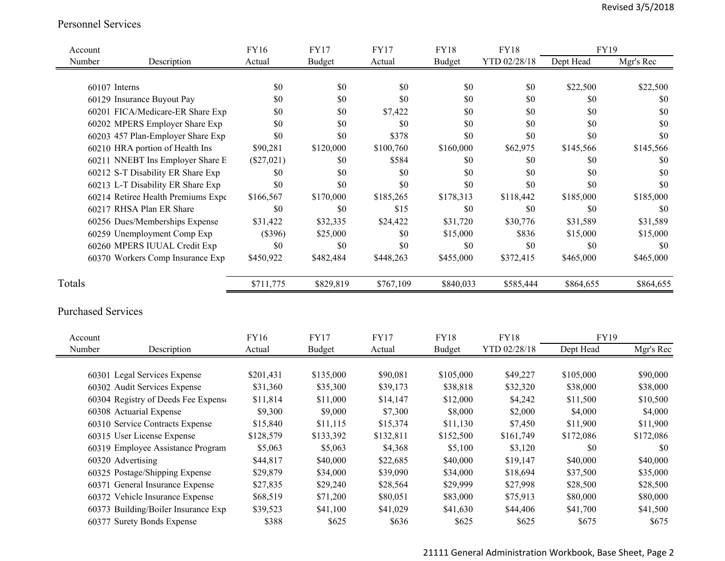#### Personnel Services

| Account                   |                                     | <b>FY16</b>  | <b>FY17</b>   | <b>FY17</b> | <b>FY18</b>   | <b>FY18</b>  | FY19      |           |
|---------------------------|-------------------------------------|--------------|---------------|-------------|---------------|--------------|-----------|-----------|
| Number                    | Description                         | Actual       | <b>Budget</b> | Actual      | <b>Budget</b> | YTD 02/28/18 | Dept Head | Mgr's Rec |
|                           |                                     |              |               |             |               |              |           |           |
| 60107 Interns             |                                     | \$0          | \$0           | \$0         | \$0           | \$0          | \$22,500  | \$22,500  |
|                           | 60129 Insurance Buyout Pay          | \$0          | \$0           | \$0         | \$0           | \$0          | \$0       | \$0       |
|                           | 60201 FICA/Medicare-ER Share Exp    | \$0          | \$0           | \$7,422     | \$0           | \$0          | \$0       | \$0       |
|                           | 60202 MPERS Employer Share Exp      | \$0          | \$0           | \$0         | \$0           | \$0          | \$0       | \$0       |
|                           | 60203 457 Plan-Employer Share Exp   | \$0          | \$0           | \$378       | \$0           | \$0          | \$0       | \$0       |
|                           | 60210 HRA portion of Health Ins     | \$90,281     | \$120,000     | \$100,760   | \$160,000     | \$62,975     | \$145,566 | \$145,566 |
|                           | 60211 NNEBT Ins Employer Share E    | $(\$27,021)$ | \$0           | \$584       | \$0           | \$0          | \$0       | \$0       |
|                           | 60212 S-T Disability ER Share Exp   | \$0          | \$0           | \$0         | \$0           | \$0          | \$0       | \$0       |
|                           | 60213 L-T Disability ER Share Exp   | \$0          | \$0           | \$0         | \$0           | \$0          | \$0       | \$0       |
|                           | 60214 Retiree Health Premiums Expe  | \$166,567    | \$170,000     | \$185,265   | \$178,313     | \$118,442    | \$185,000 | \$185,000 |
|                           | 60217 RHSA Plan ER Share            | \$0          | \$0           | \$15        | \$0           | \$0          | \$0       | \$0       |
|                           | 60256 Dues/Memberships Expense      | \$31,422     | \$32,335      | \$24,422    | \$31,720      | \$30,776     | \$31,589  | \$31,589  |
|                           | 60259 Unemployment Comp Exp         | (\$396)      | \$25,000      | \$0         | \$15,000      | \$836        | \$15,000  | \$15,000  |
|                           | 60260 MPERS IUUAL Credit Exp        | \$0          | \$0           | \$0         | $\$0$         | \$0          | \$0       | \$0       |
|                           | 60370 Workers Comp Insurance Exp    | \$450,922    | \$482,484     | \$448,263   | \$455,000     | \$372,415    | \$465,000 | \$465,000 |
| Totals                    |                                     | \$711,775    | \$829,819     | \$767,109   | \$840,033     | \$585,444    | \$864,655 | \$864,655 |
|                           |                                     |              |               |             |               |              |           |           |
| <b>Purchased Services</b> |                                     |              |               |             |               |              |           |           |
|                           |                                     |              |               |             |               |              |           |           |
| Account                   |                                     | FY16         | <b>FY17</b>   | <b>FY17</b> | <b>FY18</b>   | <b>FY18</b>  | FY19      |           |
| Number                    | Description                         | Actual       | <b>Budget</b> | Actual      | <b>Budget</b> | YTD 02/28/18 | Dept Head | Mgr's Rec |
|                           |                                     |              |               |             |               |              |           |           |
|                           | 60301 Legal Services Expense        | \$201,431    | \$135,000     | \$90,081    | \$105,000     | \$49,227     | \$105,000 | \$90,000  |
|                           | 60302 Audit Services Expense        | \$31,360     | \$35,300      | \$39,173    | \$38,818      | \$32,320     | \$38,000  | \$38,000  |
|                           | 60304 Registry of Deeds Fee Expense | \$11,814     | \$11,000      | \$14,147    | \$12,000      | \$4,242      | \$11,500  | \$10,500  |
|                           | 60308 Actuarial Expense             | \$9,300      | \$9,000       | \$7,300     | \$8,000       | \$2,000      | \$4,000   | \$4,000   |
|                           | 60310 Service Contracts Expense     | \$15,840     | \$11,115      | \$15,374    | \$11,130      | \$7,450      | \$11,900  | \$11,900  |
|                           | 60315 User License Expense          | \$128,579    | \$133,392     | \$132,811   | \$152,500     | \$161,749    | \$172,086 | \$172,086 |
|                           | 60319 Employee Assistance Program   | \$5,063      | \$5,063       | \$4,368     | \$5,100       | \$3,120      | \$0       | \$0       |
|                           | 60320 Advertising                   | \$44,817     | \$40,000      | \$22,685    | \$40,000      | \$19,147     | \$40,000  | \$40,000  |
|                           | 60325 Postage/Shipping Expense      | \$29,879     | \$34,000      | \$39,090    | \$34,000      | \$18,694     | \$37,500  | \$35,000  |
|                           | 60371 General Insurance Expense     | \$27,835     | \$29,240      | \$28,564    | \$29,999      | \$27,998     | \$28,500  | \$28,500  |
|                           | 60372 Vehicle Insurance Expense     | \$68,519     | \$71,200      | \$80,051    | \$83,000      | \$75,913     | \$80,000  | \$80,000  |
|                           | 60373 Building/Boiler Insurance Exp | \$39,523     | \$41,100      | \$41,029    | \$41,630      | \$44,406     | \$41,700  | \$41,500  |
|                           | 60377 Surety Bonds Expense          | \$388        | \$625         | \$636       | \$625         | \$625        | \$675     | \$675     |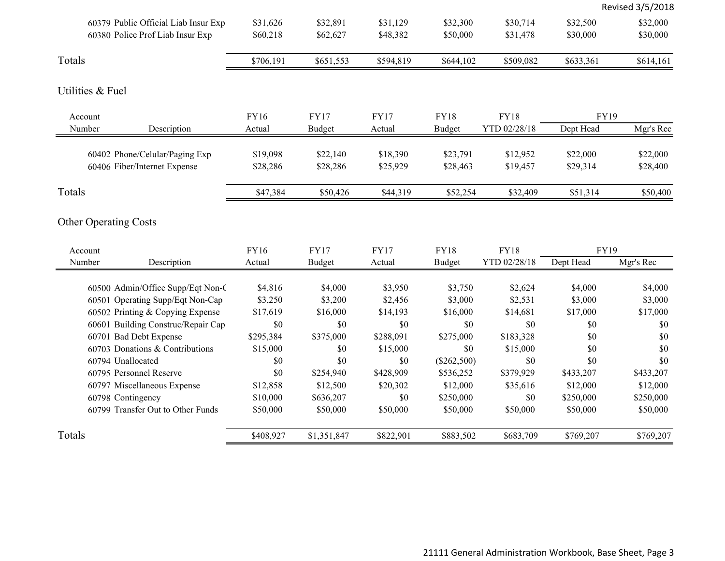|                                                                       |                      |                      |                      |                      |                      |                      | Revised 3/5/2018     |
|-----------------------------------------------------------------------|----------------------|----------------------|----------------------|----------------------|----------------------|----------------------|----------------------|
| 60379 Public Official Liab Insur Exp                                  | \$31,626             | \$32,891             | \$31,129             | \$32,300             | \$30,714             | \$32,500             | \$32,000             |
| 60380 Police Prof Liab Insur Exp                                      | \$60,218             | \$62,627             | \$48,382             | \$50,000             | \$31,478             | \$30,000             | \$30,000             |
|                                                                       |                      |                      |                      |                      |                      |                      |                      |
| Totals                                                                | \$706,191            | \$651,553            | \$594,819            | \$644,102            | \$509,082            | \$633,361            | \$614,161            |
| Utilities & Fuel                                                      |                      |                      |                      |                      |                      |                      |                      |
| Account                                                               | <b>FY16</b>          | <b>FY17</b>          | <b>FY17</b>          | <b>FY18</b>          | <b>FY18</b>          | <b>FY19</b>          |                      |
| Number<br>Description                                                 | Actual               | <b>Budget</b>        | Actual               | <b>Budget</b>        | YTD 02/28/18         | Dept Head            | Mgr's Rec            |
| 60402 Phone/Celular/Paging Exp<br>60406 Fiber/Internet Expense        | \$19,098<br>\$28,286 | \$22,140<br>\$28,286 | \$18,390<br>\$25,929 | \$23,791<br>\$28,463 | \$12,952<br>\$19,457 | \$22,000<br>\$29,314 | \$22,000<br>\$28,400 |
| Totals                                                                | \$47,384             | \$50,426             | \$44,319             | \$52,254             | \$32,409             | \$51,314             | \$50,400             |
| <b>Other Operating Costs</b><br>Account                               | <b>FY16</b>          | <b>FY17</b>          | <b>FY17</b>          | <b>FY18</b>          | <b>FY18</b>          | <b>FY19</b>          |                      |
| Number<br>Description                                                 | Actual               | <b>Budget</b>        | Actual               | <b>Budget</b>        | YTD 02/28/18         | Dept Head            | Mgr's Rec            |
| 60500 Admin/Office Supp/Eqt Non-C<br>60501 Operating Supp/Eqt Non-Cap | \$4,816<br>\$3,250   | \$4,000<br>\$3,200   | \$3,950<br>\$2,456   | \$3,750<br>\$3,000   | \$2,624<br>\$2,531   | \$4,000<br>\$3,000   | \$4,000<br>\$3,000   |
| 60502 Printing & Copying Expense                                      | \$17,619             | \$16,000             | \$14,193             | \$16,000             | \$14,681             | \$17,000             | \$17,000             |
| 60601 Building Construc/Repair Cap                                    | \$0                  | \$0                  | \$0                  | \$0                  | \$0                  | \$0                  | \$0                  |
| 60701 Bad Debt Expense                                                | \$295,384            | \$375,000            | \$288,091            | \$275,000            | \$183,328            | \$0                  | \$0                  |
| 60703 Donations & Contributions                                       | \$15,000             | \$0                  | \$15,000             | \$0                  | \$15,000             | \$0                  | \$0                  |
| 60794 Unallocated                                                     | \$0                  | \$0                  | \$0                  | (\$262,500)          | \$0                  | \$0                  | \$0                  |
| 60795 Personnel Reserve                                               | \$0                  | \$254,940            | \$428,909            | \$536,252            | \$379,929            | \$433,207            | \$433,207            |
| 60797 Miscellaneous Expense                                           | \$12,858             | \$12,500             | \$20,302             | \$12,000             | \$35,616             | \$12,000             | \$12,000             |
| 60798 Contingency                                                     | \$10,000             | \$636,207            | \$0                  | \$250,000            | \$0                  | \$250,000            | \$250,000            |
| 60799 Transfer Out to Other Funds                                     | \$50,000             | \$50,000             | \$50,000             | \$50,000             | \$50,000             | \$50,000             | \$50,000             |
| Totals                                                                | \$408,927            | \$1,351,847          | \$822,901            | \$883,502            | \$683,709            | \$769,207            | \$769,207            |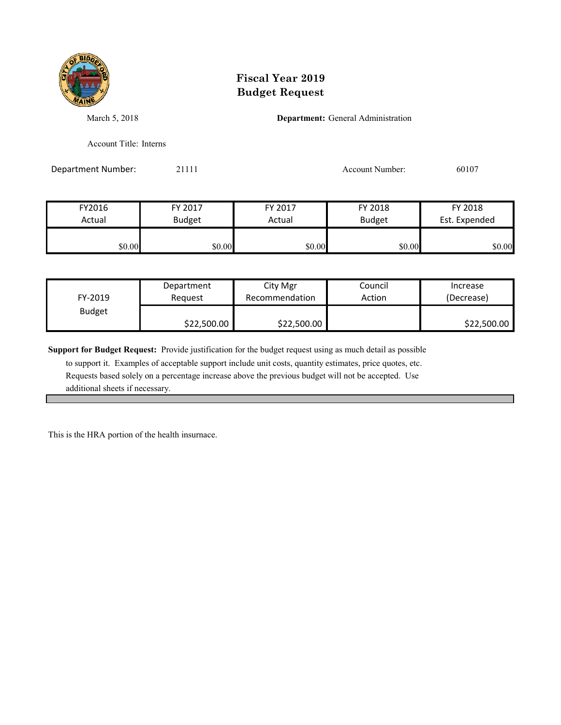

March 5, 2018 **Department:** General Administration

Account Title: Interns

Department Number: 21111 Account Number: 60107

| FY2016 | FY 2017       | FY 2017 | FY 2018       | FY 2018       |  |
|--------|---------------|---------|---------------|---------------|--|
| Actual | <b>Budget</b> | Actual  | <b>Budget</b> | Est. Expended |  |
|        |               |         |               |               |  |
| \$0.00 | \$0.00        | \$0.00  | \$0.00        | \$0.00        |  |

| FY-2019       | Department  | City Mgr       | Council | Increase    |
|---------------|-------------|----------------|---------|-------------|
|               | Reauest     | Recommendation | Action  | (Decrease)  |
| <b>Budget</b> | \$22,500.00 | \$22,500.00    |         | \$22,500.00 |

**Support for Budget Request:** Provide justification for the budget request using as much detail as possible

 to support it. Examples of acceptable support include unit costs, quantity estimates, price quotes, etc. Requests based solely on a percentage increase above the previous budget will not be accepted. Use additional sheets if necessary.

This is the HRA portion of the health insurnace.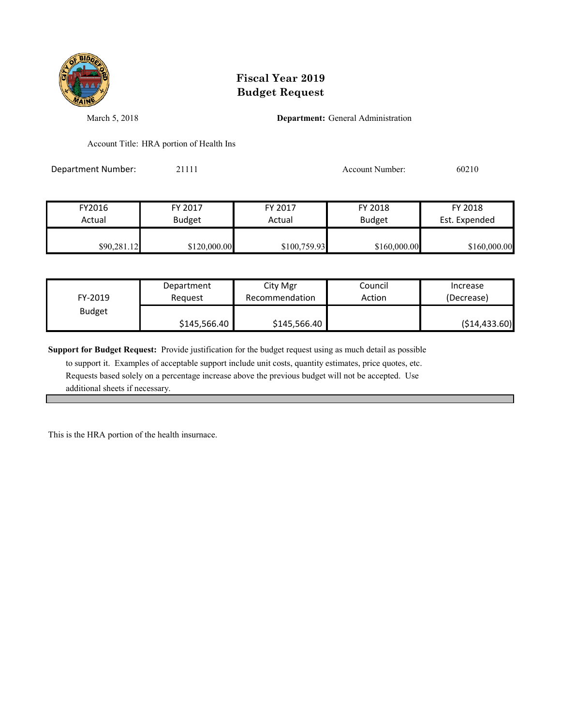

March 5, 2018 **Department:** General Administration

Account Title: HRA portion of Health Ins

Department Number: 21111 2002 21111 Account Number: 60210

| FY2016      | FY 2017       | FY 2017      | FY 2018       | FY 2018       |
|-------------|---------------|--------------|---------------|---------------|
| Actual      | <b>Budget</b> | Actual       | <b>Budget</b> | Est. Expended |
| \$90,281.12 | \$120,000.00  | \$100,759.93 | \$160,000.00  | \$160,000.00  |

| FY-2019       | Department   | City Mgr       | Council | Increase       |
|---------------|--------------|----------------|---------|----------------|
|               | Reauest      | Recommendation | Action  | (Decrease)     |
| <b>Budget</b> | \$145,566.40 | \$145,566.40   |         | ( \$14,433.60) |

**Support for Budget Request:** Provide justification for the budget request using as much detail as possible

 to support it. Examples of acceptable support include unit costs, quantity estimates, price quotes, etc. Requests based solely on a percentage increase above the previous budget will not be accepted. Use additional sheets if necessary.

This is the HRA portion of the health insurnace.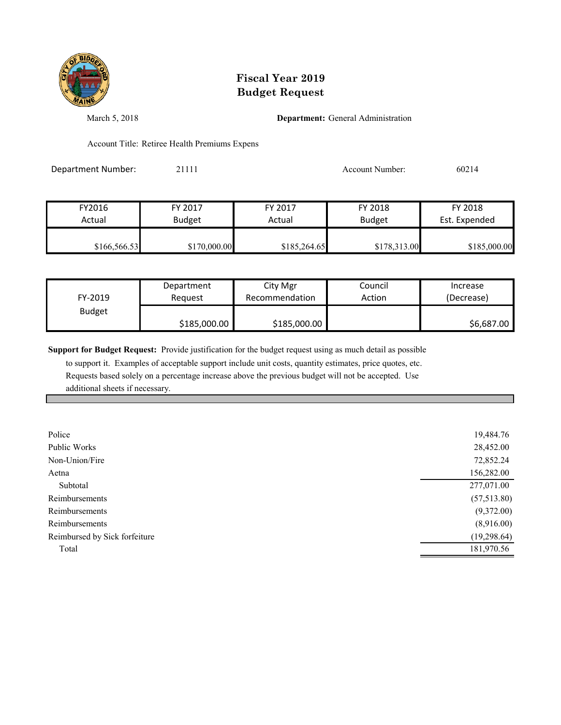

March 5, 2018 **Department:** General Administration

Account Title: Retiree Health Premiums Expens

Department Number: 21111 Account Number: 60214

FY2016 FY 2017 FY 2017 FY 2018 FY 2018 Actual Budget | Actual Budget Est. Expended \$166,566.53 \$170,000.00 \$185,264.65 \$178,313.00 \$185,000.00

| Department<br>FY-2019<br>Reauest |              | City Mgr<br>Recommendation | Council<br>Action | Increase<br>(Decrease) |  |
|----------------------------------|--------------|----------------------------|-------------------|------------------------|--|
| <b>Budget</b>                    | \$185,000.00 | \$185,000.00               |                   | \$6,687.00             |  |

**Support for Budget Request:** Provide justification for the budget request using as much detail as possible

| Police                        | 19,484.76   |
|-------------------------------|-------------|
| Public Works                  | 28,452.00   |
| Non-Union/Fire                | 72,852.24   |
| Aetna                         | 156,282.00  |
| Subtotal                      | 277,071.00  |
| Reimbursements                | (57,513.80) |
| Reimbursements                | (9,372.00)  |
| Reimbursements                | (8,916.00)  |
| Reimbursed by Sick forfeiture | (19,298.64) |
| Total                         | 181,970.56  |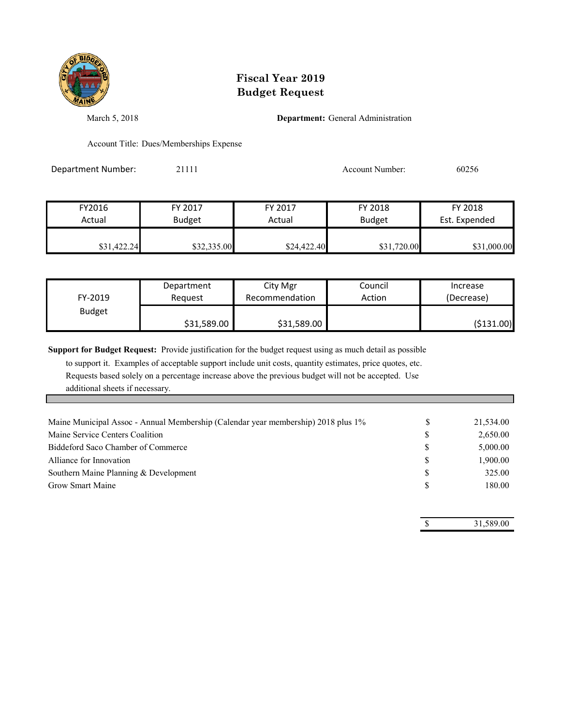

March 5, 2018 **Department:** General Administration

Account Title: Dues/Memberships Expense

Department Number: 21111 2002 21111 Account Number: 60256

| FY2016      | FY 2017       | FY 2017     | FY 2018       | FY 2018       |
|-------------|---------------|-------------|---------------|---------------|
| Actual      | <b>Budget</b> | Actual      | <b>Budget</b> | Est. Expended |
| \$31,422.24 | \$32,335.00   | \$24,422.40 | \$31,720.00   | \$31,000.00   |

| FY-2019       | Department  | City Mgr       | Council | Increase   |
|---------------|-------------|----------------|---------|------------|
|               | Reauest     | Recommendation | Action  | (Decrease) |
| <b>Budget</b> | \$31,589.00 | \$31,589.00    |         | (\$131.00) |

**Support for Budget Request:** Provide justification for the budget request using as much detail as possible

 to support it. Examples of acceptable support include unit costs, quantity estimates, price quotes, etc. Requests based solely on a percentage increase above the previous budget will not be accepted. Use additional sheets if necessary.

| Maine Municipal Assoc - Annual Membership (Calendar year membership) 2018 plus 1% | 21,534.00 |
|-----------------------------------------------------------------------------------|-----------|
| Maine Service Centers Coalition                                                   | 2,650.00  |
| Biddeford Saco Chamber of Commerce                                                | 5,000.00  |
| Alliance for Innovation                                                           | 1,900.00  |
| Southern Maine Planning & Development                                             | 325.00    |
| <b>Grow Smart Maine</b>                                                           | 180.00    |
|                                                                                   |           |

\$ 31,589.00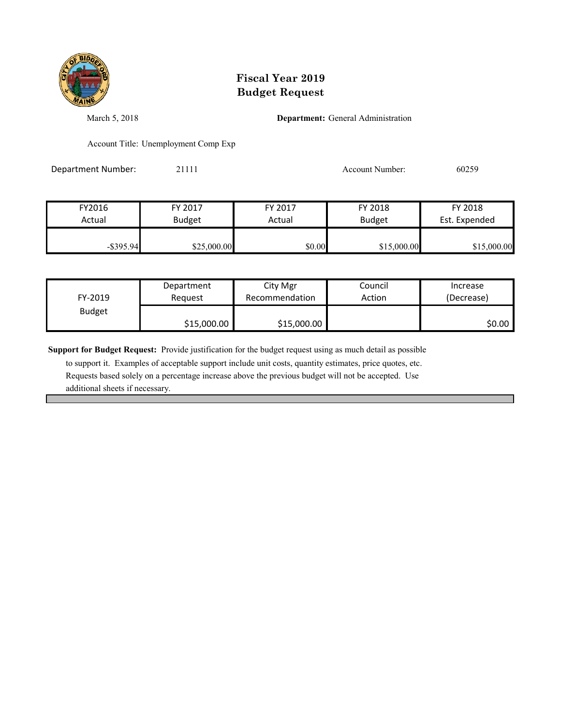

March 5, 2018 **Department:** General Administration

Account Title: Unemployment Comp Exp

Department Number: 21111 2002 21111 Account Number: 60259

| FY2016       | FY 2017       | FY 2017 | FY 2018       | FY 2018       |
|--------------|---------------|---------|---------------|---------------|
| Actual       | <b>Budget</b> | Actual  | <b>Budget</b> | Est. Expended |
|              |               |         |               |               |
| $-$ \$395.94 | \$25,000.00   | \$0.00  | \$15,000.00   | \$15,000.00   |

| FY-2019       | Department  | City Mgr       | Council | Increase   |
|---------------|-------------|----------------|---------|------------|
|               | Reauest     | Recommendation | Action  | (Decrease) |
| <b>Budget</b> | \$15,000.00 | \$15,000.00    |         | S0.00 I    |

**Support for Budget Request:** Provide justification for the budget request using as much detail as possible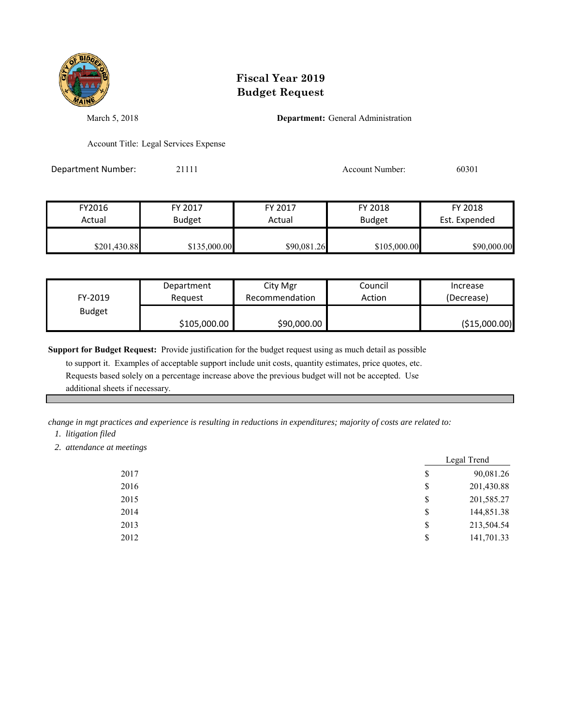

March 5, 2018 **Department:** General Administration

Account Title: Legal Services Expense

Department Number: 21111 200301 20111 Account Number: 60301

FY2016 FY 2017 FY 2017 FY 2018 FY 2018 Actual Budget **Actual Budget** Actual Budget Est. Expended  $$201,430.88$   $$135,000.00$   $$90,081.26$   $$105,000.00$   $$90,000.00$ 

| FY-2019       | Department   | City Mgr       | Council | Increase      |
|---------------|--------------|----------------|---------|---------------|
|               | Reauest      | Recommendation | Action  | (Decrease)    |
| <b>Budget</b> | \$105,000.00 | \$90,000.00    |         | (\$15,000.00) |

**Support for Budget Request:** Provide justification for the budget request using as much detail as possible

 to support it. Examples of acceptable support include unit costs, quantity estimates, price quotes, etc. Requests based solely on a percentage increase above the previous budget will not be accepted. Use additional sheets if necessary.

*change in mgt practices and experience is resulting in reductions in expenditures; majority of costs are related to: 1. litigation filed*

 *2. attendance at meetings*

|      | Legal Trend      |
|------|------------------|
| 2017 | \$<br>90,081.26  |
| 2016 | \$<br>201,430.88 |
| 2015 | \$<br>201,585.27 |
| 2014 | \$<br>144,851.38 |
| 2013 | \$<br>213,504.54 |
| 2012 | \$<br>141,701.33 |
|      |                  |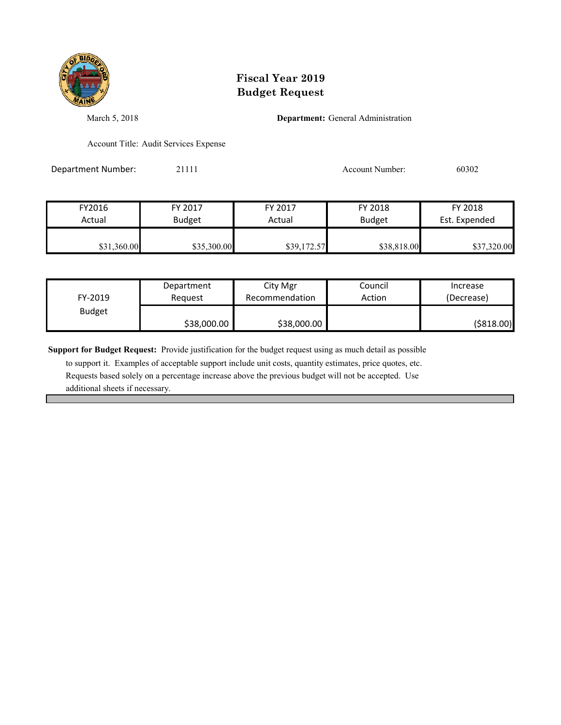

March 5, 2018 **Department:** General Administration

Account Title: Audit Services Expense

Department Number: 21111 200302 21111 Account Number: 60302

| FY2016      | FY 2017       | FY 2017     | FY 2018       | FY 2018       |
|-------------|---------------|-------------|---------------|---------------|
| Actual      | <b>Budget</b> | Actual      | <b>Budget</b> | Est. Expended |
| \$31,360.00 | \$35,300.00   | \$39,172.57 | \$38,818.00   | \$37,320.00   |

| FY-2019       | Department  | City Mgr       | Council | Increase   |
|---------------|-------------|----------------|---------|------------|
|               | Reauest     | Recommendation | Action  | (Decrease) |
| <b>Budget</b> | \$38,000.00 | \$38,000.00    |         | (\$818.00) |

**Support for Budget Request:** Provide justification for the budget request using as much detail as possible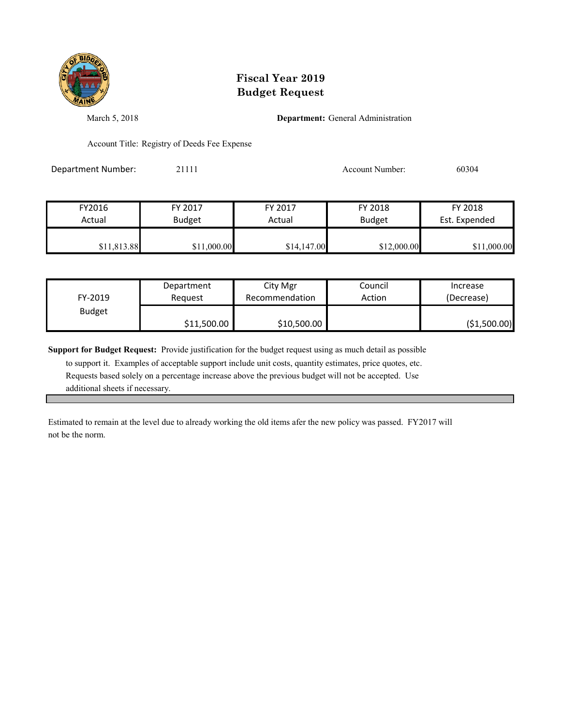

March 5, 2018 **Department:** General Administration

Account Title: Registry of Deeds Fee Expense

Department Number: 21111 200304

FY2016 FY 2017 FY 2017 FY 2018 FY 2018 Actual Budget **Actual Budget** Actual Budget Est. Expended \$11,813.88 \$11,000.00 \$14,147.00 \$12,000.00 \$11,000.00

| FY-2019       | Department  | City Mgr       | Council | Increase     |
|---------------|-------------|----------------|---------|--------------|
|               | Reauest     | Recommendation | Action  | (Decrease)   |
| <b>Budget</b> | \$11,500.00 | \$10,500.00    |         | (\$1,500.00) |

**Support for Budget Request:** Provide justification for the budget request using as much detail as possible

 to support it. Examples of acceptable support include unit costs, quantity estimates, price quotes, etc. Requests based solely on a percentage increase above the previous budget will not be accepted. Use additional sheets if necessary.

Estimated to remain at the level due to already working the old items afer the new policy was passed. FY2017 will not be the norm.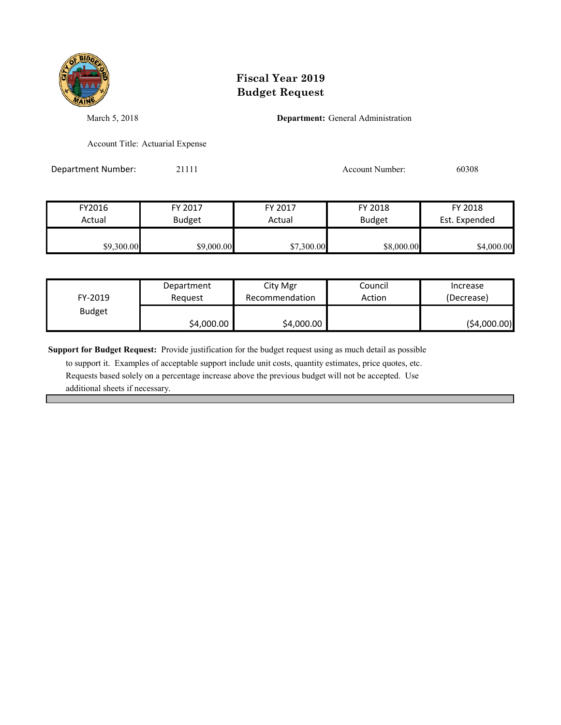

March 5, 2018 **Department:** General Administration

Account Title: Actuarial Expense

Department Number: 21111 2008 21111 Account Number: 60308

| FY2016     | FY 2017       | FY 2017    | FY 2018       | FY 2018       |
|------------|---------------|------------|---------------|---------------|
| Actual     | <b>Budget</b> | Actual     | <b>Budget</b> | Est. Expended |
| \$9,300.00 | \$9,000.00    | \$7,300.00 | \$8,000.00    | \$4,000.00    |

| FY-2019       | Department | City Mgr       | Council | Increase     |
|---------------|------------|----------------|---------|--------------|
|               | Reauest    | Recommendation | Action  | (Decrease)   |
| <b>Budget</b> | \$4,000.00 | \$4,000.00     |         | (\$4,000.00) |

**Support for Budget Request:** Provide justification for the budget request using as much detail as possible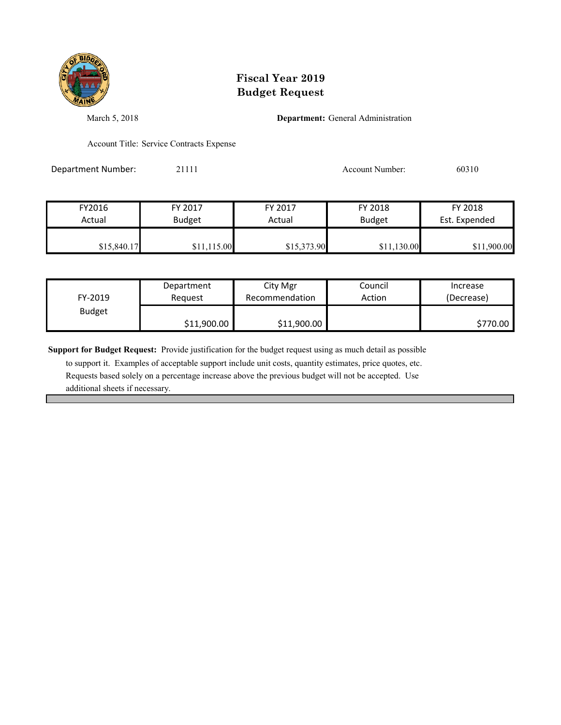

March 5, 2018 **Department:** General Administration

Account Title: Service Contracts Expense

Department Number: 21111 200310 21111 Account Number: 60310

| FY2016      | FY 2017       | FY 2017     | FY 2018       | FY 2018       |
|-------------|---------------|-------------|---------------|---------------|
| Actual      | <b>Budget</b> | Actual      | <b>Budget</b> | Est. Expended |
|             |               |             |               |               |
| \$15,840.17 | \$11,115.00   | \$15,373.90 | \$11,130.00   | \$11,900.00   |

| FY-2019       | Department  | City Mgr       | Council | Increase   |
|---------------|-------------|----------------|---------|------------|
|               | Reauest     | Recommendation | Action  | (Decrease) |
| <b>Budget</b> | \$11,900.00 | \$11,900.00    |         | \$770.00   |

**Support for Budget Request:** Provide justification for the budget request using as much detail as possible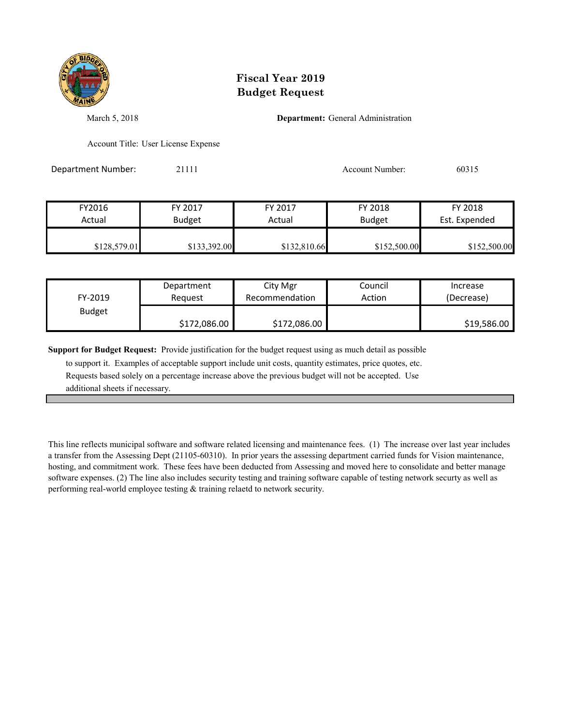

March 5, 2018 **Department:** General Administration

Account Title: User License Expense

Department Number: 21111 2009 21111 Account Number: 60315

| FY2016       | FY 2017       | FY 2017      | FY 2018       | FY 2018       |
|--------------|---------------|--------------|---------------|---------------|
| Actual       | <b>Budget</b> | Actual       | <b>Budget</b> | Est. Expended |
| \$128,579.01 | \$133,392.00  | \$132,810.66 | \$152,500.00  | \$152,500.00  |

| FY-2019       | Department   | City Mgr       | Council | Increase    |
|---------------|--------------|----------------|---------|-------------|
|               | Reguest      | Recommendation | Action  | (Decrease)  |
| <b>Budget</b> | \$172,086.00 | \$172,086.00   |         | \$19,586.00 |

**Support for Budget Request:** Provide justification for the budget request using as much detail as possible

 to support it. Examples of acceptable support include unit costs, quantity estimates, price quotes, etc. Requests based solely on a percentage increase above the previous budget will not be accepted. Use additional sheets if necessary.

This line reflects municipal software and software related licensing and maintenance fees. (1) The increase over last year includes a transfer from the Assessing Dept (21105-60310). In prior years the assessing department carried funds for Vision maintenance, hosting, and commitment work. These fees have been deducted from Assessing and moved here to consolidate and better manage software expenses. (2) The line also includes security testing and training software capable of testing network securty as well as performing real-world employee testing & training relaetd to network security.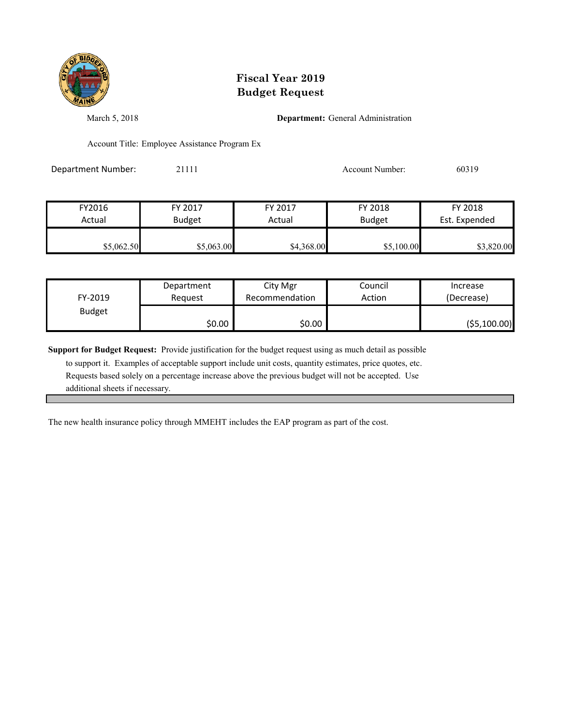

March 5, 2018 **Department:** General Administration

Account Title: Employee Assistance Program Ex

Department Number: 21111 200319 200319

| FY2016     | FY 2017       | FY 2017    |            | FY 2018       |
|------------|---------------|------------|------------|---------------|
| Actual     | <b>Budget</b> | Actual     |            | Est. Expended |
| \$5,062.50 | \$5,063.00    | \$4,368.00 | \$5,100.00 | \$3,820.00    |

| FY-2019       | Department | City Mgr       | Council | Increase      |
|---------------|------------|----------------|---------|---------------|
|               | Reauest    | Recommendation | Action  | (Decrease)    |
| <b>Budget</b> | \$0.00     | \$0.00         |         | ( \$5,100.00) |

**Support for Budget Request:** Provide justification for the budget request using as much detail as possible

 to support it. Examples of acceptable support include unit costs, quantity estimates, price quotes, etc. Requests based solely on a percentage increase above the previous budget will not be accepted. Use additional sheets if necessary.

The new health insurance policy through MMEHT includes the EAP program as part of the cost.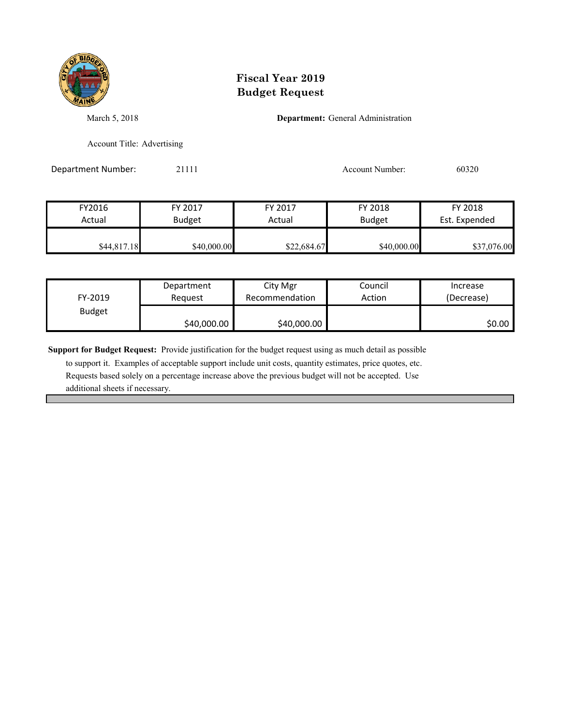

March 5, 2018 **Department:** General Administration

Account Title: Advertising

Department Number: 21111 Account Number: 60320

| FY2016      | FY 2017       | FY 2017     | FY 2018       | FY 2018       |
|-------------|---------------|-------------|---------------|---------------|
| Actual      | <b>Budget</b> | Actual      | <b>Budget</b> | Est. Expended |
|             |               |             |               |               |
| \$44,817.18 | \$40,000.00   | \$22,684.67 | \$40,000.00   | \$37,076.00   |

| FY-2019       | Department  | City Mgr       | Council | Increase   |
|---------------|-------------|----------------|---------|------------|
|               | Reauest     | Recommendation | Action  | (Decrease) |
| <b>Budget</b> | \$40,000.00 | \$40,000.00    |         | S0.00 I    |

**Support for Budget Request:** Provide justification for the budget request using as much detail as possible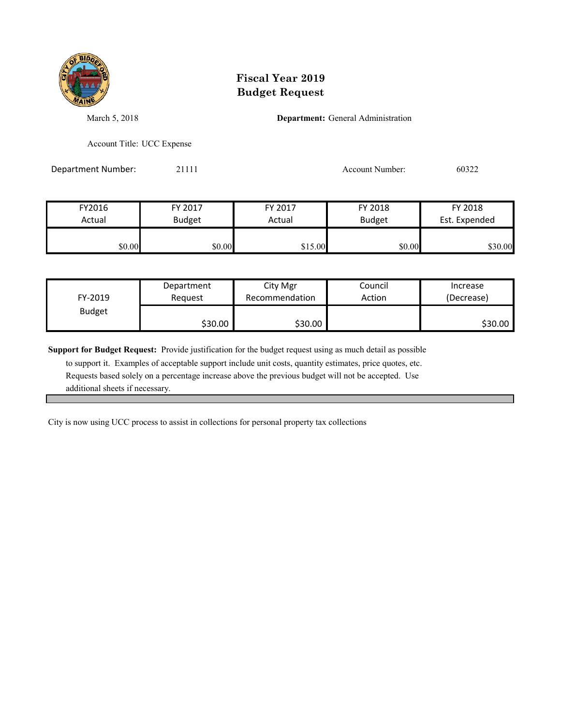

March 5, 2018 **Department:** General Administration

Account Title: UCC Expense

Department Number: 21111 200322

| FY2016 | FY 2017       | FY 2017 | FY 2018       | FY 2018       |  |
|--------|---------------|---------|---------------|---------------|--|
| Actual | <b>Budget</b> | Actual  | <b>Budget</b> | Est. Expended |  |
| \$0.00 | \$0.00        | \$15.00 | \$0.00        | \$30.00       |  |

| FY-2019       | Department | City Mgr       | Council | Increase   |
|---------------|------------|----------------|---------|------------|
|               | Reauest    | Recommendation | Action  | (Decrease) |
| <b>Budget</b> | \$30.00    | \$30.00        |         | \$30.00    |

**Support for Budget Request:** Provide justification for the budget request using as much detail as possible

 to support it. Examples of acceptable support include unit costs, quantity estimates, price quotes, etc. Requests based solely on a percentage increase above the previous budget will not be accepted. Use additional sheets if necessary.

City is now using UCC process to assist in collections for personal property tax collections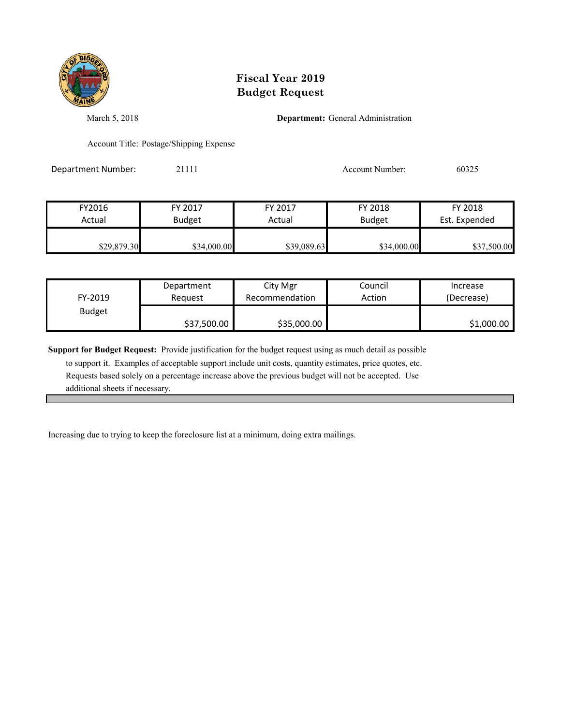

March 5, 2018 **Department:** General Administration

Account Title: Postage/Shipping Expense

Department Number: 21111 200325

| FY2016      | FY 2017       | FY 2017     | FY 2018       | FY 2018       |
|-------------|---------------|-------------|---------------|---------------|
| Actual      | <b>Budget</b> | Actual      | <b>Budget</b> | Est. Expended |
| \$29,879.30 | \$34,000.00   | \$39,089.63 | \$34,000.00   | \$37,500.00   |

| FY-2019       | Department  | City Mgr       | Council | Increase   |
|---------------|-------------|----------------|---------|------------|
|               | Reauest     | Recommendation | Action  | (Decrease) |
| <b>Budget</b> | \$37,500.00 | \$35,000.00    |         | \$1,000.00 |

**Support for Budget Request:** Provide justification for the budget request using as much detail as possible

 to support it. Examples of acceptable support include unit costs, quantity estimates, price quotes, etc. Requests based solely on a percentage increase above the previous budget will not be accepted. Use additional sheets if necessary.

Increasing due to trying to keep the foreclosure list at a minimum, doing extra mailings.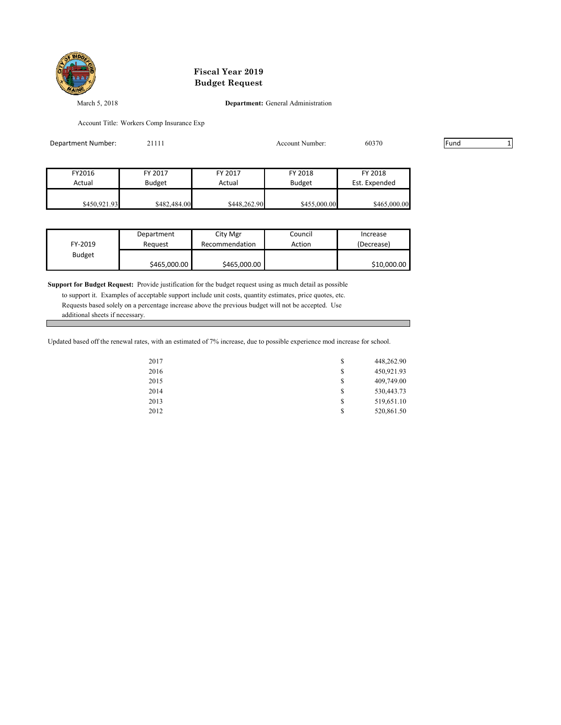

March 5, 2018 **Department:** General Administration

Account Title: Workers Comp Insurance Exp

| Department Number: | 21111         |              | Account Number: | 60370         | Fund |  |
|--------------------|---------------|--------------|-----------------|---------------|------|--|
|                    |               |              |                 |               |      |  |
| FY2016             | FY 2017       | FY 2017      | FY 2018         | FY 2018       |      |  |
| Actual             | <b>Budget</b> | Actual       | <b>Budget</b>   | Est. Expended |      |  |
|                    |               |              |                 |               |      |  |
| \$450,921.93       | \$482,484.00  | \$448,262.90 | \$455,000.00    | \$465,000.00  |      |  |

| FY-2019       | Department   | City Mgr       | Council | Increase    |
|---------------|--------------|----------------|---------|-------------|
|               | Reauest      | Recommendation | Action  | (Decrease)  |
| <b>Budget</b> | \$465,000.00 | \$465,000.00   |         | \$10,000.00 |

**Support for Budget Request:** Provide justification for the budget request using as much detail as possible to support it. Examples of acceptable support include unit costs, quantity estimates, price quotes, etc. Requests based solely on a percentage increase above the previous budget will not be accepted. Use additional sheets if necessary.

Updated based off the renewal rates, with an estimated of 7% increase, due to possible experience mod increase for school.

| 2017 | \$<br>448,262.90 |
|------|------------------|
| 2016 | \$<br>450,921.93 |
| 2015 | \$<br>409,749.00 |
| 2014 | \$<br>530,443.73 |
| 2013 | \$<br>519,651.10 |
| 2012 | \$<br>520,861.50 |
|      |                  |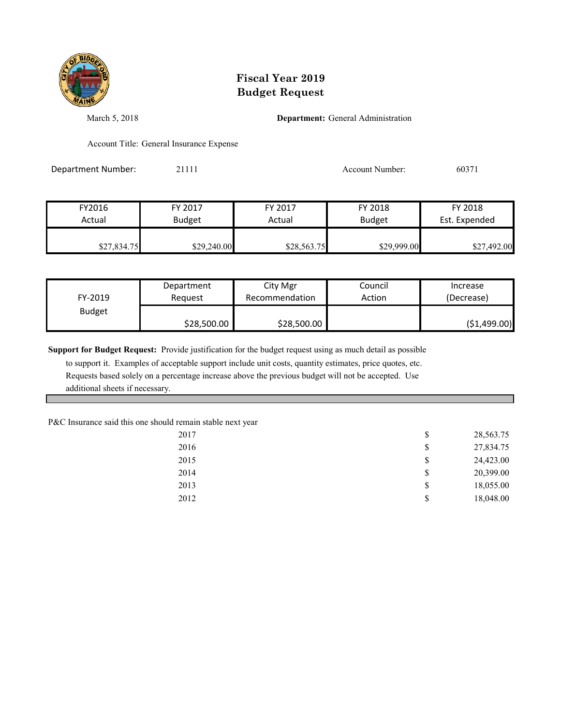

March 5, 2018 **Department:** General Administration

Account Title: General Insurance Expense

Department Number: 21111 2008 21111 Account Number: 60371

| FY2016      | FY 2017       | FY 2017     | FY 2018       | FY 2018       |
|-------------|---------------|-------------|---------------|---------------|
| Actual      | <b>Budget</b> | Actual      | <b>Budget</b> | Est. Expended |
| \$27,834.75 | \$29,240.00   | \$28,563.75 | \$29,999.00   | \$27,492.00   |

| FY-2019       | Department  | City Mgr       | Council | Increase     |
|---------------|-------------|----------------|---------|--------------|
|               | Reauest     | Recommendation | Action  | (Decrease)   |
| <b>Budget</b> | \$28,500.00 | \$28,500.00    |         | (51, 499.00) |

**Support for Budget Request:** Provide justification for the budget request using as much detail as possible

 to support it. Examples of acceptable support include unit costs, quantity estimates, price quotes, etc. Requests based solely on a percentage increase above the previous budget will not be accepted. Use additional sheets if necessary.

P&C Insurance said this one should remain stable next year

| 2017 | \$<br>28,563.75 |
|------|-----------------|
| 2016 | \$<br>27,834.75 |
| 2015 | \$<br>24,423.00 |
| 2014 | \$<br>20,399.00 |
| 2013 | \$<br>18,055.00 |
| 2012 | \$<br>18,048.00 |
|      |                 |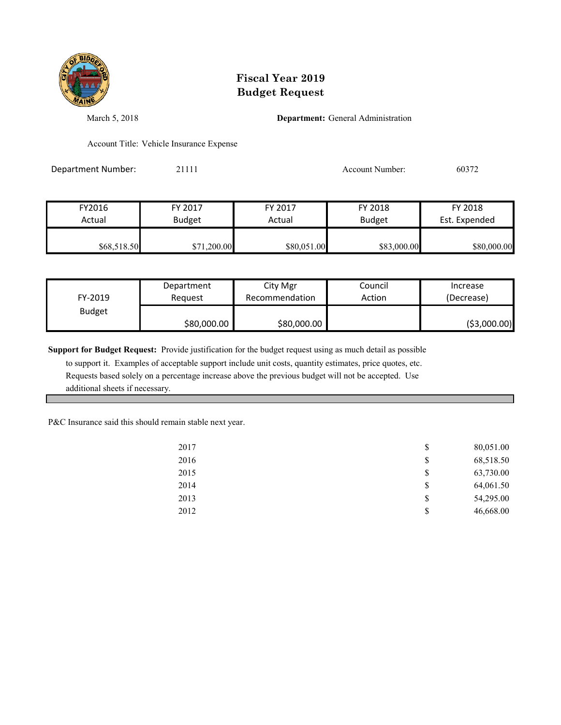

March 5, 2018 **Department:** General Administration

Account Title: Vehicle Insurance Expense

Department Number: 21111 Account Number: 60372

| FY2016      | FY 2017       | FY 2017     | FY 2018       | FY 2018       |
|-------------|---------------|-------------|---------------|---------------|
| Actual      | <b>Budget</b> | Actual      | <b>Budget</b> | Est. Expended |
|             |               |             |               |               |
| \$68,518.50 | \$71,200.00   | \$80,051.00 | \$83,000.00   | \$80,000.00   |

| FY-2019       | Department  | City Mgr       | Council | Increase      |
|---------------|-------------|----------------|---------|---------------|
|               | Reauest     | Recommendation | Action  | (Decrease)    |
| <b>Budget</b> | \$80,000.00 | \$80,000.00    |         | ( \$3,000.00) |

**Support for Budget Request:** Provide justification for the budget request using as much detail as possible

 to support it. Examples of acceptable support include unit costs, quantity estimates, price quotes, etc. Requests based solely on a percentage increase above the previous budget will not be accepted. Use additional sheets if necessary.

P&C Insurance said this should remain stable next year.

| 2017 | \$<br>80,051.00 |
|------|-----------------|
| 2016 | \$<br>68,518.50 |
| 2015 | \$<br>63,730.00 |
| 2014 | \$<br>64,061.50 |
| 2013 | \$<br>54,295.00 |
| 2012 | \$<br>46,668.00 |
|      |                 |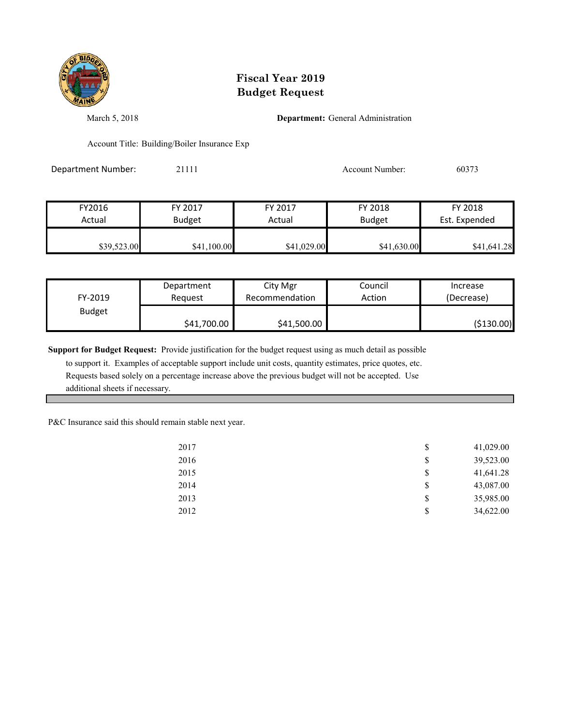

March 5, 2018 **Department:** General Administration

Account Title: Building/Boiler Insurance Exp

Department Number: 21111 2003/13 20111 2012 Account Number: 60373

| FY2016      | FY 2017       | FY 2017     | FY 2018       | FY 2018       |
|-------------|---------------|-------------|---------------|---------------|
| Actual      | <b>Budget</b> | Actual      | <b>Budget</b> | Est. Expended |
| \$39,523.00 | \$41,100.00   | \$41,029.00 | \$41,630.00   | \$41,641.28   |

| FY-2019       | Department  | City Mgr       | Council | Increase   |
|---------------|-------------|----------------|---------|------------|
|               | Reauest     | Recommendation | Action  | (Decrease) |
| <b>Budget</b> | \$41,700.00 | \$41,500.00    |         | (\$130.00) |

**Support for Budget Request:** Provide justification for the budget request using as much detail as possible

 to support it. Examples of acceptable support include unit costs, quantity estimates, price quotes, etc. Requests based solely on a percentage increase above the previous budget will not be accepted. Use additional sheets if necessary.

P&C Insurance said this should remain stable next year.

| 2017 | \$<br>41,029.00 |
|------|-----------------|
| 2016 | \$<br>39,523.00 |
| 2015 | \$<br>41,641.28 |
| 2014 | \$<br>43,087.00 |
| 2013 | \$<br>35,985.00 |
| 2012 | \$<br>34,622.00 |
|      |                 |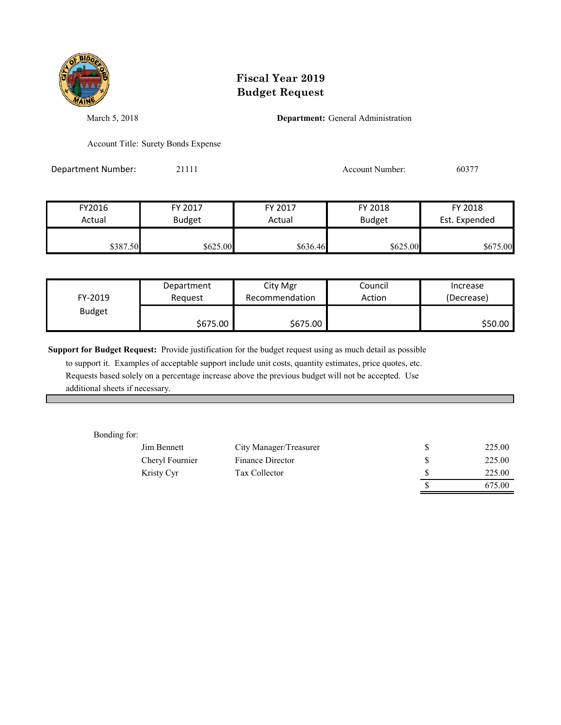

March 5, 2018 **Department:** General Administration

Account Title: Surety Bonds Expense

Department Number: 21111 2008 21111 Account Number: 60377

| FY2016   | FY 2017       | FY 2017  | FY 2018       | FY 2018       |
|----------|---------------|----------|---------------|---------------|
| Actual   | <b>Budget</b> | Actual   | <b>Budget</b> | Est. Expended |
|          |               |          |               |               |
| \$387.50 | \$625.00      | \$636.46 | \$625.00      | \$675.00      |

| FY-2019       | Department | City Mgr       | Council | Increase   |
|---------------|------------|----------------|---------|------------|
|               | Reauest    | Recommendation | Action  | (Decrease) |
| <b>Budget</b> | \$675.00   | \$675.00       |         | \$50.00    |

**Support for Budget Request:** Provide justification for the budget request using as much detail as possible

 to support it. Examples of acceptable support include unit costs, quantity estimates, price quotes, etc. Requests based solely on a percentage increase above the previous budget will not be accepted. Use additional sheets if necessary.

Bonding for:

| Jim Bennett     | City Manager/Treasurer | 225.00 |
|-----------------|------------------------|--------|
| Cheryl Fournier | Finance Director       | 225.00 |
| Kristy Cyr      | Tax Collector          | 225.00 |
|                 |                        | 675.00 |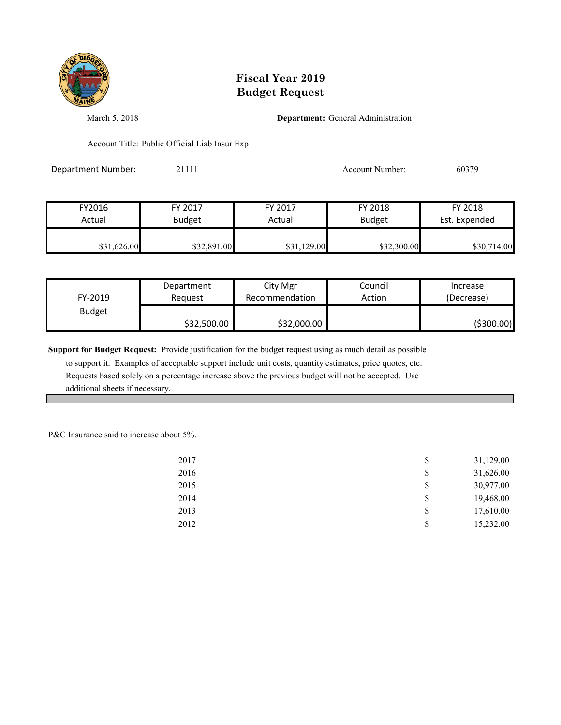

March 5, 2018 **Department:** General Administration

Account Title: Public Official Liab Insur Exp

Department Number: 21111 Account Number: 60379

| FY2016      | FY 2017       | FY 2017     | FY 2018       | FY 2018       |
|-------------|---------------|-------------|---------------|---------------|
| Actual      | <b>Budget</b> | Actual      | <b>Budget</b> | Est. Expended |
| \$31,626.00 | \$32,891.00   | \$31,129.00 | \$32,300.00   | \$30,714.00   |

| FY-2019       | Department  | City Mgr       | Council | Increase   |
|---------------|-------------|----------------|---------|------------|
|               | Reauest     | Recommendation | Action  | (Decrease) |
| <b>Budget</b> | \$32,500.00 | \$32,000.00    |         | (\$300.00) |

**Support for Budget Request:** Provide justification for the budget request using as much detail as possible

 to support it. Examples of acceptable support include unit costs, quantity estimates, price quotes, etc. Requests based solely on a percentage increase above the previous budget will not be accepted. Use additional sheets if necessary.

P&C Insurance said to increase about 5%.

| 2017 | \$<br>31,129.00 |
|------|-----------------|
| 2016 | \$<br>31,626.00 |
| 2015 | \$<br>30,977.00 |
| 2014 | \$<br>19,468.00 |
| 2013 | \$<br>17,610.00 |
| 2012 | \$<br>15,232.00 |
|      |                 |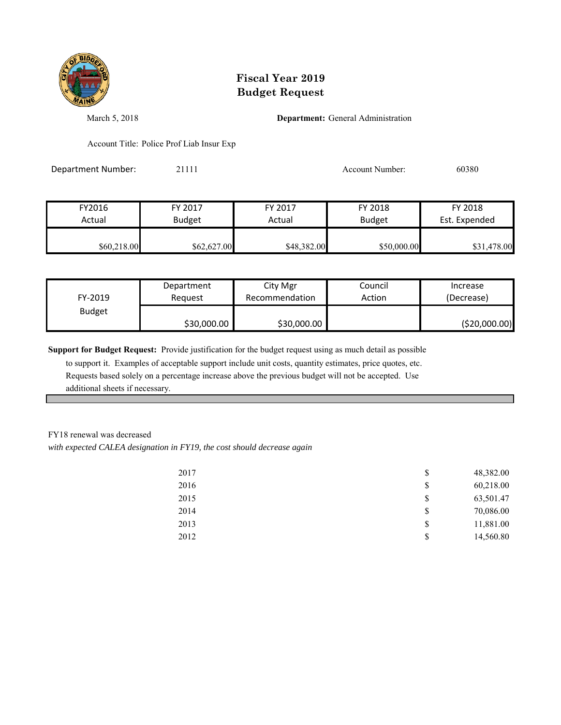

March 5, 2018 **Department:** General Administration

Account Title: Police Prof Liab Insur Exp

Department Number: 21111 20080 20080 2009 20111 20080 20080 20080 20080 20080 20080 20080 20080 20080 20080 20

| FY2016      | FY 2017       | FY 2017     | FY 2018       | FY 2018       |
|-------------|---------------|-------------|---------------|---------------|
| Actual      | <b>Budget</b> | Actual      | <b>Budget</b> | Est. Expended |
|             |               |             |               |               |
| \$60,218.00 | \$62,627.00   | \$48,382.00 | \$50,000.00   | \$31,478.00   |

| FY-2019       | Department  | City Mgr       | Council | Increase       |
|---------------|-------------|----------------|---------|----------------|
|               | Reauest     | Recommendation | Action  | (Decrease)     |
| <b>Budget</b> | \$30,000.00 | \$30,000.00    |         | ( \$20,000.00) |

**Support for Budget Request:** Provide justification for the budget request using as much detail as possible

 to support it. Examples of acceptable support include unit costs, quantity estimates, price quotes, etc. Requests based solely on a percentage increase above the previous budget will not be accepted. Use additional sheets if necessary.

#### FY18 renewal was decreased

*with expected CALEA designation in FY19, the cost should decrease again*

| 2017 | \$<br>48,382.00 |
|------|-----------------|
| 2016 | \$<br>60,218.00 |
| 2015 | \$<br>63,501.47 |
| 2014 | \$<br>70,086.00 |
| 2013 | \$<br>11,881.00 |
| 2012 | \$<br>14,560.80 |
|      |                 |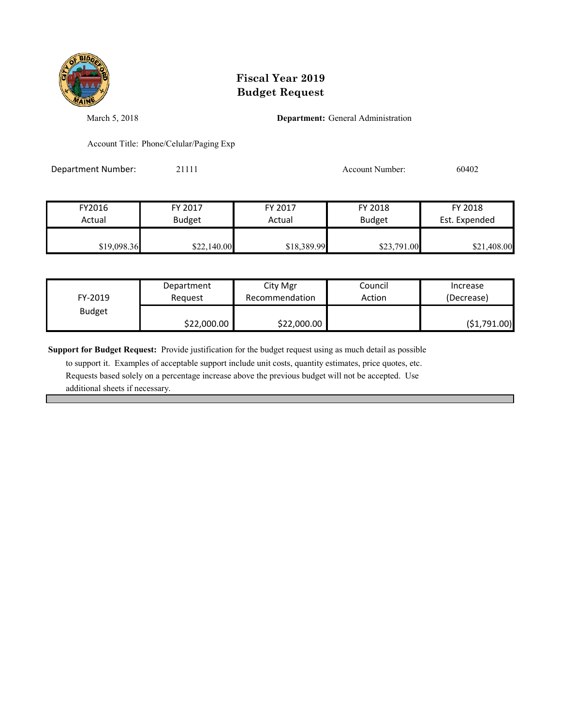

March 5, 2018 **Department:** General Administration

Account Title: Phone/Celular/Paging Exp

Department Number: 21111 2002 21111 Account Number: 60402

| FY2016      | FY 2017       | FY 2017     | FY 2018       | FY 2018       |
|-------------|---------------|-------------|---------------|---------------|
| Actual      | <b>Budget</b> | Actual      | <b>Budget</b> | Est. Expended |
| \$19,098.36 | \$22,140.00   | \$18,389.99 | \$23,791.00   | \$21,408.00   |

| FY-2019       | Department  | City Mgr       | Council | Increase     |
|---------------|-------------|----------------|---------|--------------|
|               | Reauest     | Recommendation | Action  | (Decrease)   |
| <b>Budget</b> | \$22,000.00 | \$22,000.00    |         | (\$1,791.00) |

**Support for Budget Request:** Provide justification for the budget request using as much detail as possible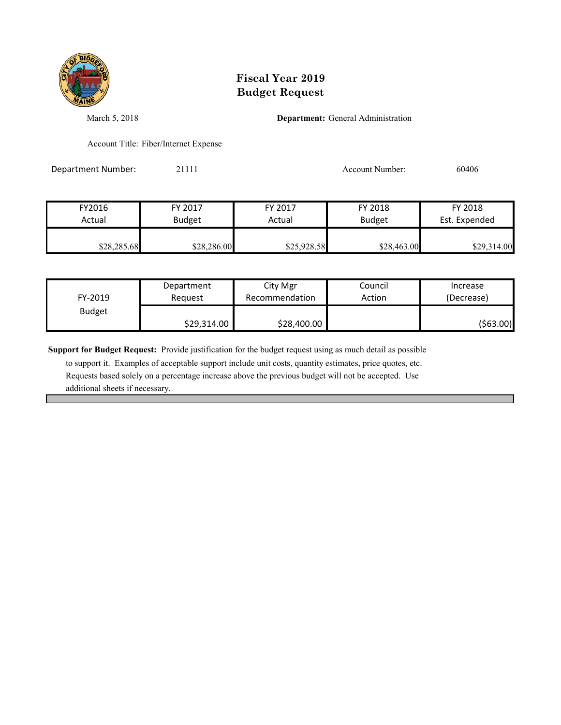

March 5, 2018 **Department:** General Administration

Account Title: Fiber/Internet Expense

Department Number: 21111 2008 21111 Account Number: 60406

| FY2016      | FY 2017       | FY 2017     | FY 2018       | FY 2018       |
|-------------|---------------|-------------|---------------|---------------|
| Actual      | <b>Budget</b> | Actual      | <b>Budget</b> | Est. Expended |
|             |               |             |               |               |
| \$28,285.68 | \$28,286.00   | \$25,928.58 | \$28,463.00   | \$29,314.00   |

| FY-2019       | Department  | City Mgr       | Council | Increase   |
|---------------|-------------|----------------|---------|------------|
|               | Reauest     | Recommendation | Action  | (Decrease) |
| <b>Budget</b> | \$29,314.00 | \$28,400.00    |         | (\$63.00)  |

**Support for Budget Request:** Provide justification for the budget request using as much detail as possible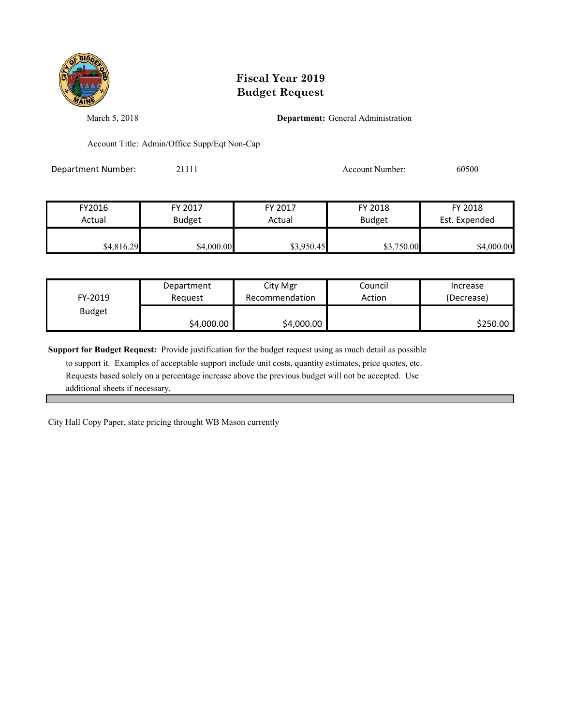

March 5, 2018 **Department:** General Administration

Account Title: Admin/Office Supp/Eqt Non-Cap

Department Number: 21111 2008 21111 Account Number: 60500

| FY2016     | FY 2017       | FY 2017    | FY 2018       | FY 2018       |
|------------|---------------|------------|---------------|---------------|
| Actual     | <b>Budget</b> | Actual     | <b>Budget</b> | Est. Expended |
| \$4,816.29 | \$4,000.00    | \$3,950.45 | \$3,750.00    | \$4,000.00    |

| FY-2019       | Department | City Mgr       | Council | Increase   |
|---------------|------------|----------------|---------|------------|
|               | Reauest    | Recommendation | Action  | (Decrease) |
| <b>Budget</b> | \$4,000.00 | \$4,000.00     |         | \$250.00   |

**Support for Budget Request:** Provide justification for the budget request using as much detail as possible

 to support it. Examples of acceptable support include unit costs, quantity estimates, price quotes, etc. Requests based solely on a percentage increase above the previous budget will not be accepted. Use additional sheets if necessary.

City Hall Copy Paper, state pricing throught WB Mason currently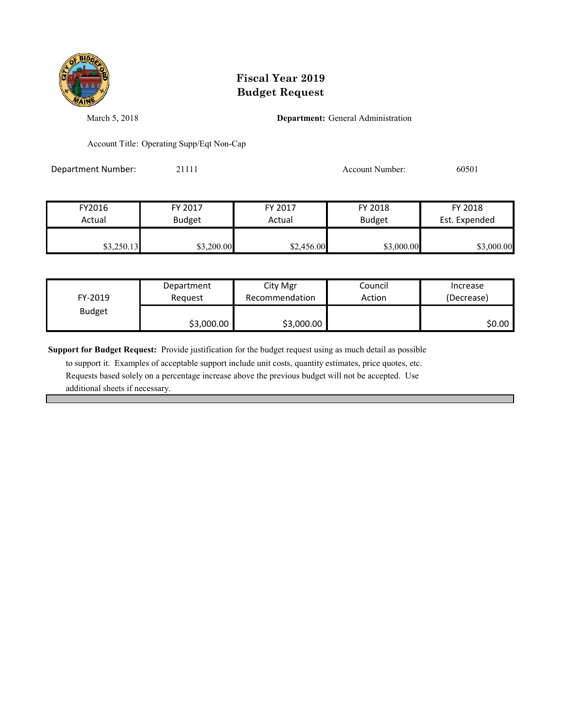

March 5, 2018 **Department:** General Administration

Account Title: Operating Supp/Eqt Non-Cap

Department Number: 21111 2008 21111 Account Number: 60501

| FY2016     | FY 2017       | FY 2017    | FY 2018       | FY 2018       |
|------------|---------------|------------|---------------|---------------|
| Actual     | <b>Budget</b> | Actual     | <b>Budget</b> | Est. Expended |
| \$3,250.13 | \$3,200.00    | \$2,456.00 | \$3,000.00    | \$3,000.00    |

| FY-2019       | Department | City Mgr       | Council | Increase   |
|---------------|------------|----------------|---------|------------|
|               | Request    | Recommendation | Action  | (Decrease) |
| <b>Budget</b> | \$3,000.00 | \$3,000.00     |         | \$0.00     |

**Support for Budget Request:** Provide justification for the budget request using as much detail as possible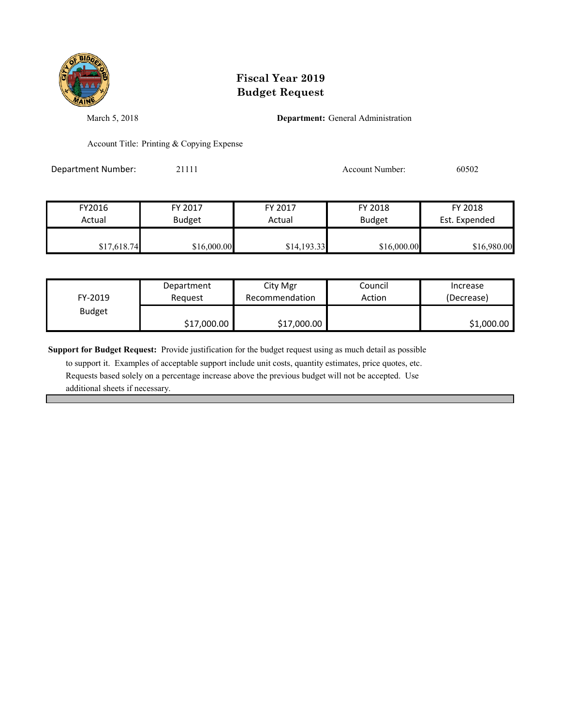

March 5, 2018 **Department:** General Administration

Account Title: Printing & Copying Expense

Department Number: 21111 2008 20111 2012 Account Number: 60502

| FY2016      | FY 2017       | FY 2017     | FY 2018       | FY 2018       |
|-------------|---------------|-------------|---------------|---------------|
| Actual      | <b>Budget</b> | Actual      | <b>Budget</b> | Est. Expended |
| \$17,618.74 | \$16,000.00   | \$14,193.33 | \$16,000.00   | \$16,980.00   |

| FY-2019       | Department  | City Mgr       | Council | Increase   |
|---------------|-------------|----------------|---------|------------|
|               | Reauest     | Recommendation | Action  | (Decrease) |
| <b>Budget</b> | \$17,000.00 | \$17,000.00    |         | \$1,000.00 |

**Support for Budget Request:** Provide justification for the budget request using as much detail as possible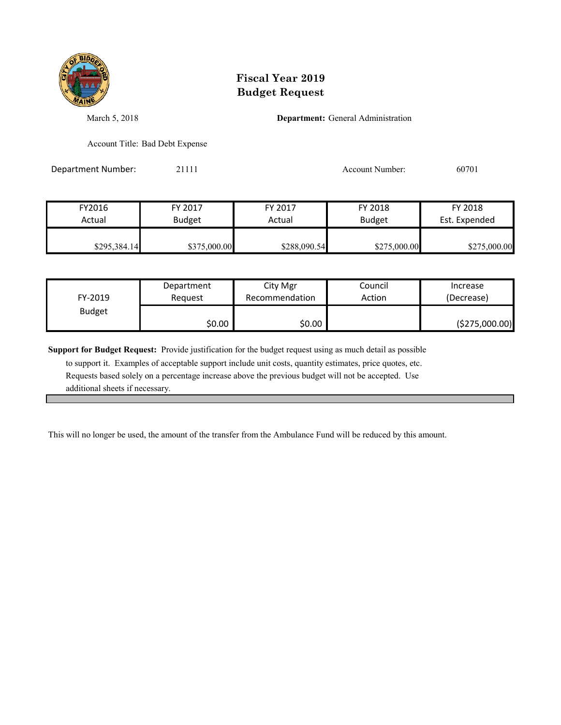

March 5, 2018 **Department:** General Administration

Account Title: Bad Debt Expense

Department Number: 21111 2002 21111 Account Number: 60701

| FY2016       | FY 2017       | FY 2017      | FY 2018       | FY 2018       |
|--------------|---------------|--------------|---------------|---------------|
| Actual       | <b>Budget</b> | Actual       | <b>Budget</b> | Est. Expended |
|              |               |              |               |               |
| \$295,384.14 | \$375,000.00  | \$288,090.54 | \$275,000.00  | \$275,000.00  |

| FY-2019       | Department | City Mgr       | Council | Increase       |
|---------------|------------|----------------|---------|----------------|
|               | Reauest    | Recommendation | Action  | (Decrease)     |
| <b>Budget</b> | \$0.00     | 0.00 \$        |         | (\$275,000.00) |

**Support for Budget Request:** Provide justification for the budget request using as much detail as possible

 to support it. Examples of acceptable support include unit costs, quantity estimates, price quotes, etc. Requests based solely on a percentage increase above the previous budget will not be accepted. Use additional sheets if necessary.

This will no longer be used, the amount of the transfer from the Ambulance Fund will be reduced by this amount.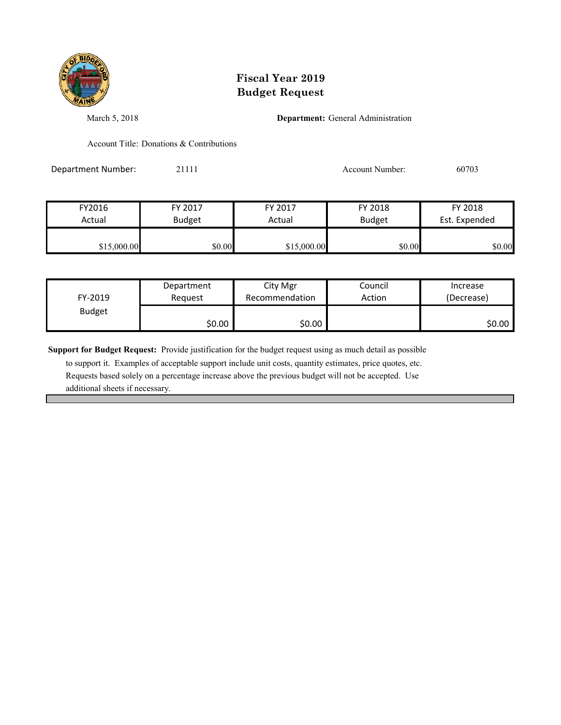

March 5, 2018 **Department:** General Administration

Account Title: Donations & Contributions

Department Number: 21111 Account Number: 60703

| FY2016      | FY 2017       | FY 2017     | FY 2018       | FY 2018       |
|-------------|---------------|-------------|---------------|---------------|
| Actual      | <b>Budget</b> | Actual      | <b>Budget</b> | Est. Expended |
|             |               |             |               |               |
| \$15,000.00 | \$0.00        | \$15,000.00 | \$0.00        | \$0.00        |

| FY-2019       | Department | City Mgr       | Council | Increase   |
|---------------|------------|----------------|---------|------------|
|               | Reauest    | Recommendation | Action  | (Decrease) |
| <b>Budget</b> | \$0.00     | \$0.00         |         | \$0.00     |

**Support for Budget Request:** Provide justification for the budget request using as much detail as possible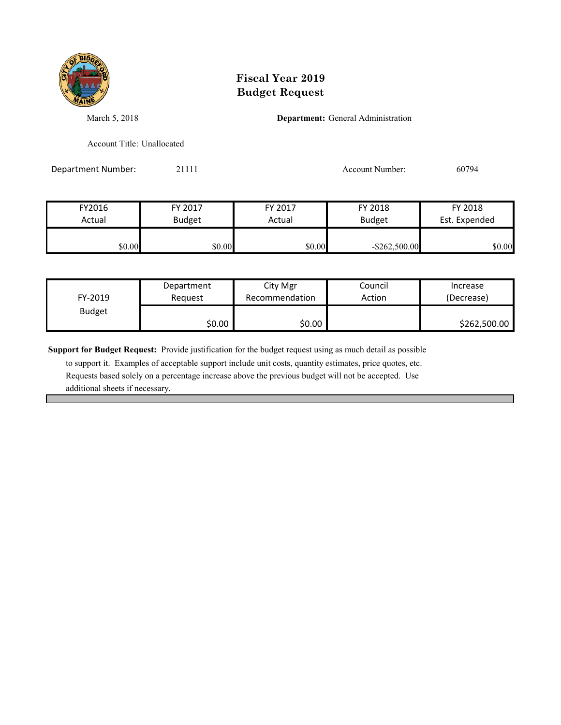

March 5, 2018 **Department:** General Administration

Account Title: Unallocated

Department Number: 21111 2002 21111 Account Number: 60794

| FY2016 | FY 2017       | FY 2017 | FY 2018          | FY 2018       |
|--------|---------------|---------|------------------|---------------|
| Actual | <b>Budget</b> | Actual  | <b>Budget</b>    | Est. Expended |
|        |               |         |                  |               |
| \$0.00 | \$0.00        | \$0.00  | $-$ \$262,500.00 | \$0.00        |

| FY-2019       | Department | City Mgr       | Council | Increase     |
|---------------|------------|----------------|---------|--------------|
|               | Reauest    | Recommendation | Action  | (Decrease)   |
| <b>Budget</b> | \$0.00     | \$0.00         |         | \$262,500.00 |

**Support for Budget Request:** Provide justification for the budget request using as much detail as possible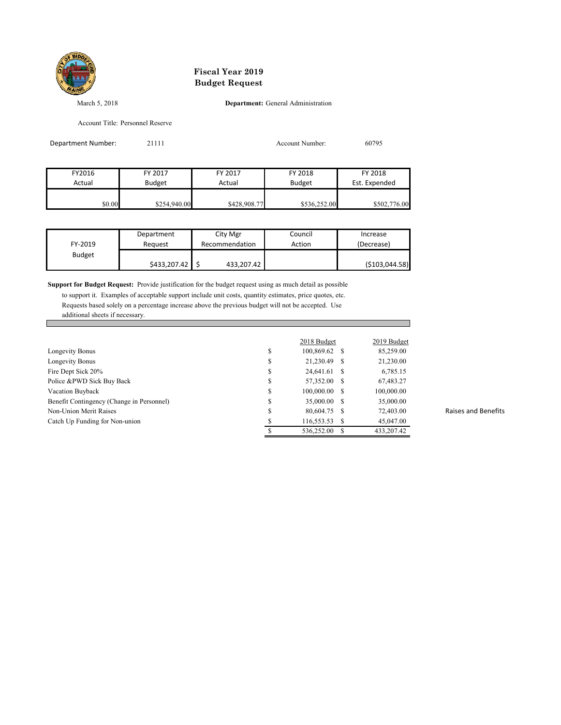

March 5, 2018 **Department:** General Administration

Account Title: Personnel Reserve

| Department Number: | 21111         |              | Account Number: | 60795         |
|--------------------|---------------|--------------|-----------------|---------------|
|                    |               |              |                 |               |
| FY2016             | FY 2017       | FY 2017      | FY 2018         | FY 2018       |
| Actual             | <b>Budget</b> | Actual       | <b>Budget</b>   | Est. Expended |
|                    |               |              |                 |               |
| \$0.00             | \$254,940.00  | \$428,908.77 | \$536,252.00    | \$502,776.00  |

| FY-2019       | Department   | City Mgr       | Council | Increase         |
|---------------|--------------|----------------|---------|------------------|
|               | Reauest      | Recommendation | Action  | (Decrease)       |
| <b>Budget</b> | \$433,207.42 | 433,207.42     |         | ( \$103, 044.58) |

**Support for Budget Request:** Provide justification for the budget request using as much detail as possible to support it. Examples of acceptable support include unit costs, quantity estimates, price quotes, etc. Requests based solely on a percentage increase above the previous budget will not be accepted. Use additional sheets if necessary.

|                                           |    | 2018 Budget   |      | 2019 Budget |
|-------------------------------------------|----|---------------|------|-------------|
| Longevity Bonus                           | \$ | 100,869.62 \$ |      | 85,259.00   |
| Longevity Bonus                           | S  | 21,230.49     | S    | 21,230.00   |
| Fire Dept Sick 20%                        | \$ | 24,641.61     | - \$ | 6,785.15    |
| Police &PWD Sick Buy Back                 | \$ | 57,352.00     | - \$ | 67,483.27   |
| Vacation Buyback                          | S  | 100,000.00    | - S  | 100,000.00  |
| Benefit Contingency (Change in Personnel) | \$ | 35,000.00     | - \$ | 35,000.00   |
| Non-Union Merit Raises                    | S  | 80,604.75     | - \$ | 72,403.00   |
| Catch Up Funding for Non-union            |    | 116,553.53    |      | 45,047.00   |
|                                           |    | 536,252.00    |      | 433,207.42  |

Raises and Benefits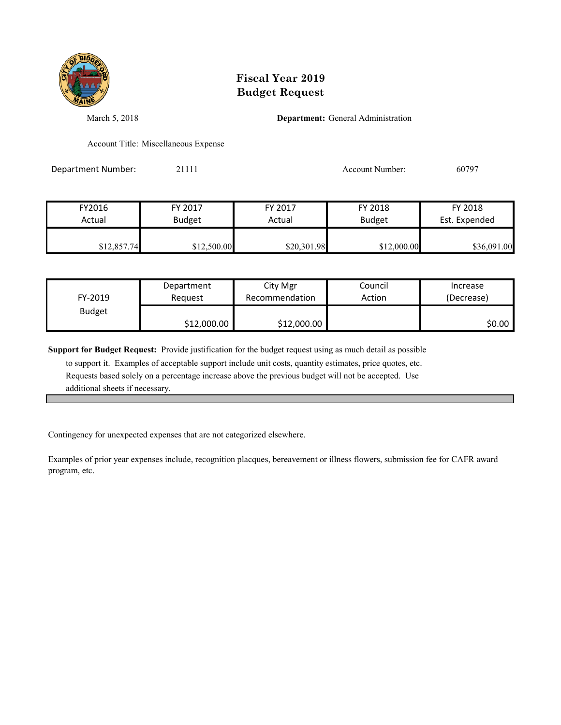

March 5, 2018 **Department:** General Administration

Account Title: Miscellaneous Expense

Department Number: 21111 Account Number: 60797

| FY2016      | FY 2017       | FY 2017     | FY 2018       | FY 2018       |
|-------------|---------------|-------------|---------------|---------------|
| Actual      | <b>Budget</b> | Actual      | <b>Budget</b> | Est. Expended |
| \$12,857.74 | \$12,500.00   | \$20,301.98 | \$12,000.00   | \$36,091.00   |

| FY-2019       | Department  | City Mgr       | Council | Increase   |
|---------------|-------------|----------------|---------|------------|
|               | Reauest     | Recommendation | Action  | (Decrease) |
| <b>Budget</b> | \$12,000.00 | \$12,000.00    |         | \$0.00     |

**Support for Budget Request:** Provide justification for the budget request using as much detail as possible

 to support it. Examples of acceptable support include unit costs, quantity estimates, price quotes, etc. Requests based solely on a percentage increase above the previous budget will not be accepted. Use additional sheets if necessary.

Contingency for unexpected expenses that are not categorized elsewhere.

Examples of prior year expenses include, recognition placques, bereavement or illness flowers, submission fee for CAFR award program, etc.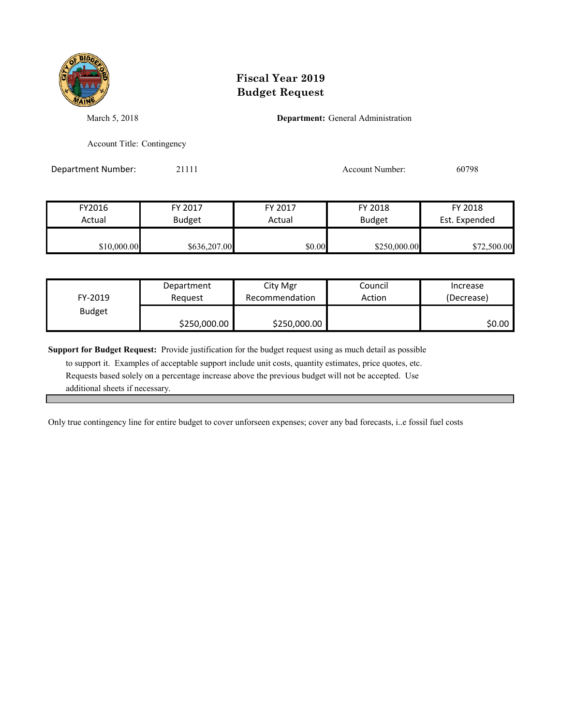

March 5, 2018 **Department:** General Administration

Account Title: Contingency

Department Number: 21111 Account Number: 60798

| FY2016      | FY 2017       | FY 2017 | FY 2018       | FY 2018       |
|-------------|---------------|---------|---------------|---------------|
| Actual      | <b>Budget</b> | Actual  | <b>Budget</b> | Est. Expended |
|             |               |         |               |               |
| \$10,000.00 | \$636,207.00  | \$0.00  | \$250,000.00  | \$72,500.00   |

| FY-2019       | Department   | City Mgr       | Council | Increase   |
|---------------|--------------|----------------|---------|------------|
|               | Reauest      | Recommendation | Action  | (Decrease) |
| <b>Budget</b> | \$250,000.00 | \$250,000.00   |         | \$0.00     |

**Support for Budget Request:** Provide justification for the budget request using as much detail as possible

 to support it. Examples of acceptable support include unit costs, quantity estimates, price quotes, etc. Requests based solely on a percentage increase above the previous budget will not be accepted. Use additional sheets if necessary.

Only true contingency line for entire budget to cover unforseen expenses; cover any bad forecasts, i..e fossil fuel costs